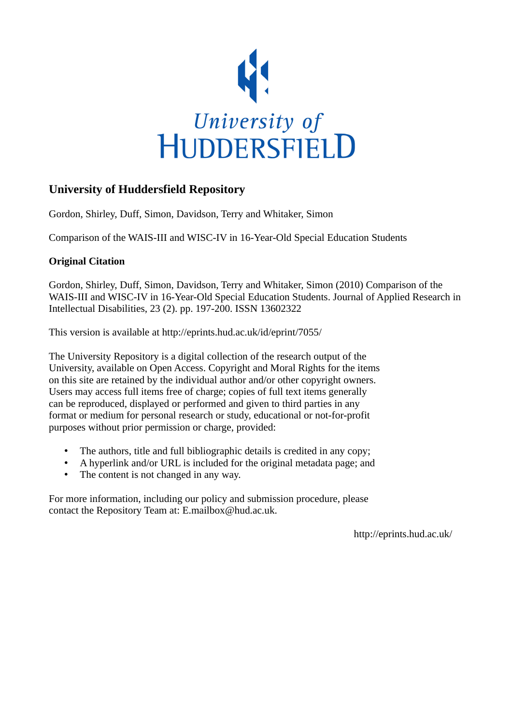

# **University of Huddersfield Repository**

Gordon, Shirley, Duff, Simon, Davidson, Terry and Whitaker, Simon

Comparison of the WAIS-III and WISC-IV in 16-Year-Old Special Education Students

### **Original Citation**

Gordon, Shirley, Duff, Simon, Davidson, Terry and Whitaker, Simon (2010) Comparison of the WAIS-III and WISC-IV in 16-Year-Old Special Education Students. Journal of Applied Research in Intellectual Disabilities, 23 (2). pp. 197-200. ISSN 13602322

This version is available at http://eprints.hud.ac.uk/id/eprint/7055/

The University Repository is a digital collection of the research output of the University, available on Open Access. Copyright and Moral Rights for the items on this site are retained by the individual author and/or other copyright owners. Users may access full items free of charge; copies of full text items generally can be reproduced, displayed or performed and given to third parties in any format or medium for personal research or study, educational or not-for-profit purposes without prior permission or charge, provided:

- The authors, title and full bibliographic details is credited in any copy;
- A hyperlink and/or URL is included for the original metadata page; and
- The content is not changed in any way.

For more information, including our policy and submission procedure, please contact the Repository Team at: E.mailbox@hud.ac.uk.

http://eprints.hud.ac.uk/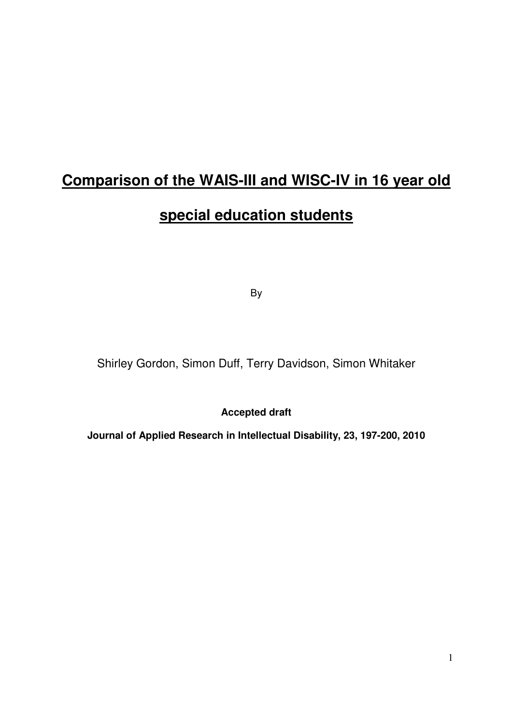# **Comparison of the WAIS-III and WISC-IV in 16 year old**

# **special education students**

By

Shirley Gordon, Simon Duff, Terry Davidson, Simon Whitaker

**Accepted draft** 

**Journal of Applied Research in Intellectual Disability, 23, 197-200, 2010**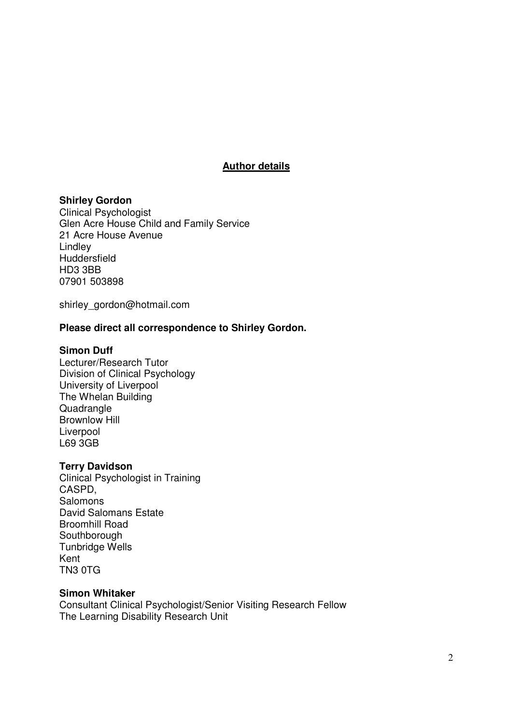## **Author details**

### **Shirley Gordon**

Clinical Psychologist Glen Acre House Child and Family Service 21 Acre House Avenue Lindley Huddersfield HD3 3BB 07901 503898

shirley\_gordon@hotmail.com

### **Please direct all correspondence to Shirley Gordon.**

### **Simon Duff**

Lecturer/Research Tutor Division of Clinical Psychology University of Liverpool The Whelan Building **Quadrangle** Brownlow Hill Liverpool L69 3GB

### **Terry Davidson**

Clinical Psychologist in Training CASPD, Salomons David Salomans Estate Broomhill Road **Southborough** Tunbridge Wells Kent TN3 0TG

### **Simon Whitaker**

Consultant Clinical Psychologist/Senior Visiting Research Fellow The Learning Disability Research Unit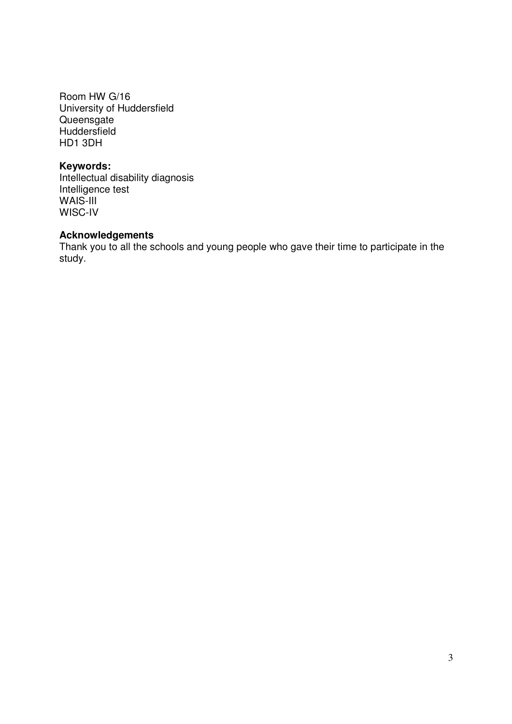Room HW G/16 University of Huddersfield **Queensgate Huddersfield** HD1 3DH

## **Keywords:**

Intellectual disability diagnosis Intelligence test WAIS-III WISC-IV

### **Acknowledgements**

Thank you to all the schools and young people who gave their time to participate in the study.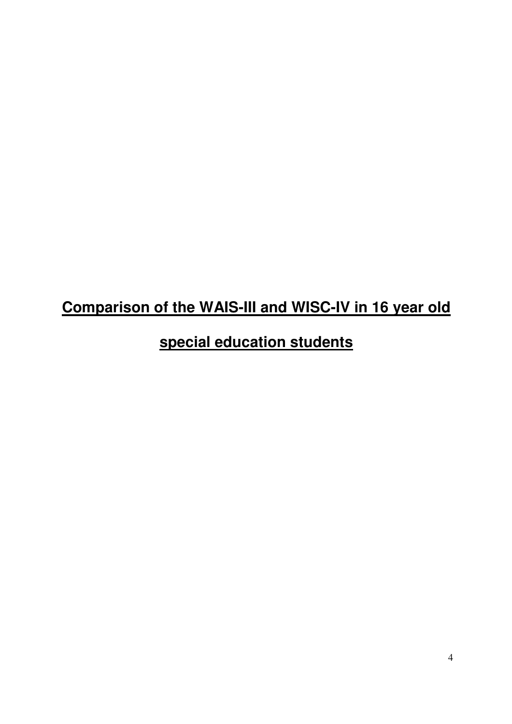# **Comparison of the WAIS-III and WISC-IV in 16 year old**

# **special education students**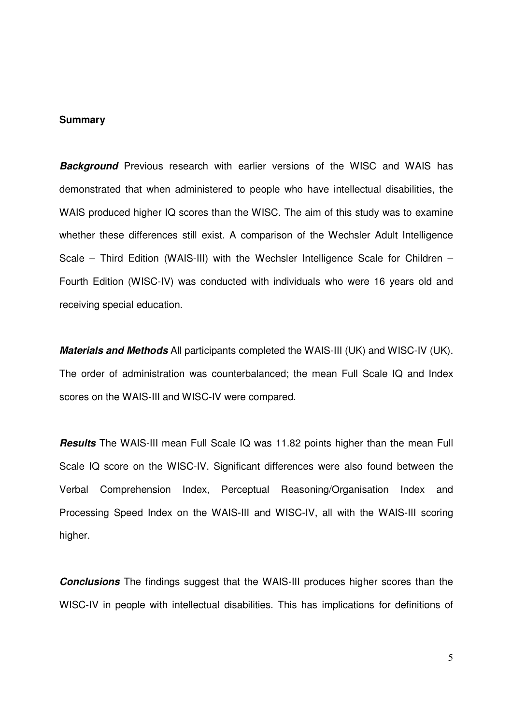### **Summary**

**Background** Previous research with earlier versions of the WISC and WAIS has demonstrated that when administered to people who have intellectual disabilities, the WAIS produced higher IQ scores than the WISC. The aim of this study was to examine whether these differences still exist. A comparison of the Wechsler Adult Intelligence Scale – Third Edition (WAIS-III) with the Wechsler Intelligence Scale for Children – Fourth Edition (WISC-IV) was conducted with individuals who were 16 years old and receiving special education.

**Materials and Methods** All participants completed the WAIS-III (UK) and WISC-IV (UK). The order of administration was counterbalanced; the mean Full Scale IQ and Index scores on the WAIS-III and WISC-IV were compared.

**Results** The WAIS-III mean Full Scale IQ was 11.82 points higher than the mean Full Scale IQ score on the WISC-IV. Significant differences were also found between the Verbal Comprehension Index, Perceptual Reasoning/Organisation Index and Processing Speed Index on the WAIS-III and WISC-IV, all with the WAIS-III scoring higher.

**Conclusions** The findings suggest that the WAIS-III produces higher scores than the WISC-IV in people with intellectual disabilities. This has implications for definitions of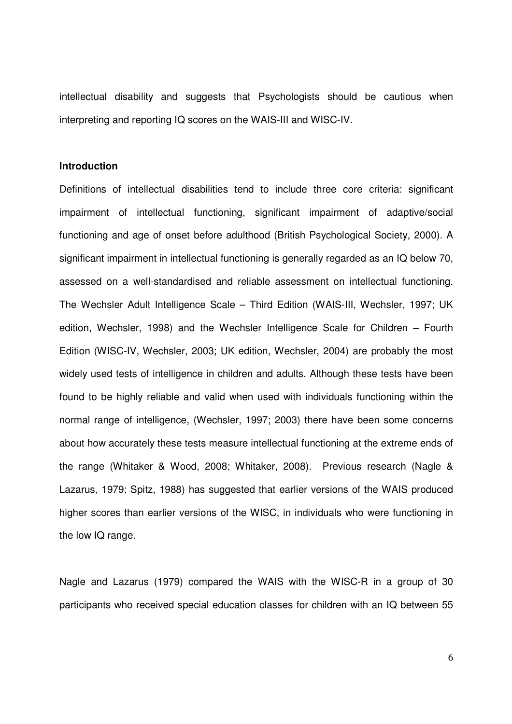intellectual disability and suggests that Psychologists should be cautious when interpreting and reporting IQ scores on the WAIS-III and WISC-IV.

### **Introduction**

Definitions of intellectual disabilities tend to include three core criteria: significant impairment of intellectual functioning, significant impairment of adaptive/social functioning and age of onset before adulthood (British Psychological Society, 2000). A significant impairment in intellectual functioning is generally regarded as an IQ below 70, assessed on a well-standardised and reliable assessment on intellectual functioning. The Wechsler Adult Intelligence Scale – Third Edition (WAIS-III, Wechsler, 1997; UK edition, Wechsler, 1998) and the Wechsler Intelligence Scale for Children – Fourth Edition (WISC-IV, Wechsler, 2003; UK edition, Wechsler, 2004) are probably the most widely used tests of intelligence in children and adults. Although these tests have been found to be highly reliable and valid when used with individuals functioning within the normal range of intelligence, (Wechsler, 1997; 2003) there have been some concerns about how accurately these tests measure intellectual functioning at the extreme ends of the range (Whitaker & Wood, 2008; Whitaker, 2008). Previous research (Nagle & Lazarus, 1979; Spitz, 1988) has suggested that earlier versions of the WAIS produced higher scores than earlier versions of the WISC, in individuals who were functioning in the low IQ range.

Nagle and Lazarus (1979) compared the WAIS with the WISC-R in a group of 30 participants who received special education classes for children with an IQ between 55

6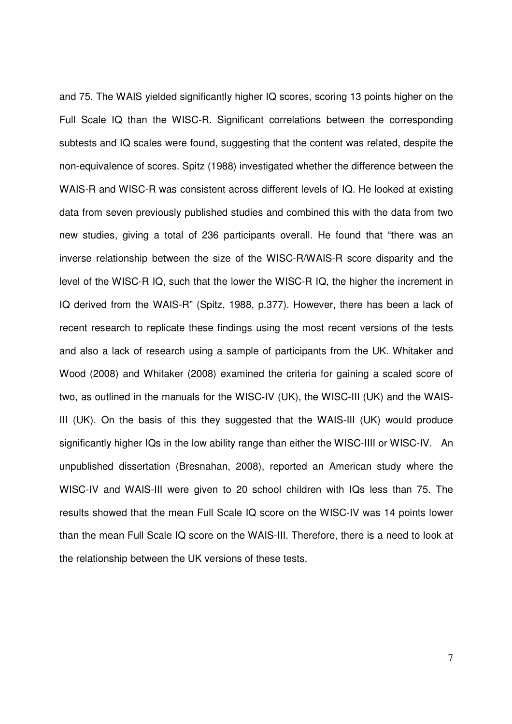and 75. The WAIS yielded significantly higher IQ scores, scoring 13 points higher on the Full Scale IQ than the WISC-R. Significant correlations between the corresponding subtests and IQ scales were found, suggesting that the content was related, despite the non-equivalence of scores. Spitz (1988) investigated whether the difference between the WAIS-R and WISC-R was consistent across different levels of IQ. He looked at existing data from seven previously published studies and combined this with the data from two new studies, giving a total of 236 participants overall. He found that "there was an inverse relationship between the size of the WISC-R/WAIS-R score disparity and the level of the WISC-R IQ, such that the lower the WISC-R IQ, the higher the increment in IQ derived from the WAIS-R" (Spitz, 1988, p.377). However, there has been a lack of recent research to replicate these findings using the most recent versions of the tests and also a lack of research using a sample of participants from the UK. Whitaker and Wood (2008) and Whitaker (2008) examined the criteria for gaining a scaled score of two, as outlined in the manuals for the WISC-IV (UK), the WISC-III (UK) and the WAIS-III (UK). On the basis of this they suggested that the WAIS-III (UK) would produce significantly higher IQs in the low ability range than either the WISC-IIII or WISC-IV. An unpublished dissertation (Bresnahan, 2008), reported an American study where the WISC-IV and WAIS-III were given to 20 school children with IQs less than 75. The results showed that the mean Full Scale IQ score on the WISC-IV was 14 points lower than the mean Full Scale IQ score on the WAIS-III. Therefore, there is a need to look at the relationship between the UK versions of these tests.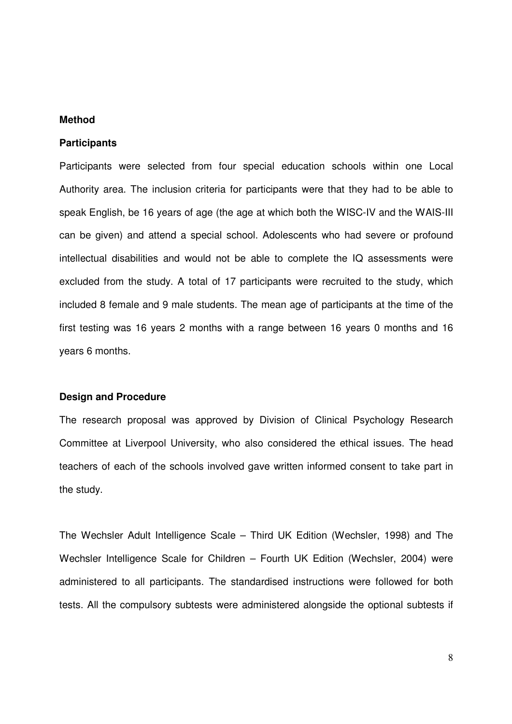### **Method**

#### **Participants**

Participants were selected from four special education schools within one Local Authority area. The inclusion criteria for participants were that they had to be able to speak English, be 16 years of age (the age at which both the WISC-IV and the WAIS-III can be given) and attend a special school. Adolescents who had severe or profound intellectual disabilities and would not be able to complete the IQ assessments were excluded from the study. A total of 17 participants were recruited to the study, which included 8 female and 9 male students. The mean age of participants at the time of the first testing was 16 years 2 months with a range between 16 years 0 months and 16 years 6 months.

#### **Design and Procedure**

The research proposal was approved by Division of Clinical Psychology Research Committee at Liverpool University, who also considered the ethical issues. The head teachers of each of the schools involved gave written informed consent to take part in the study.

The Wechsler Adult Intelligence Scale – Third UK Edition (Wechsler, 1998) and The Wechsler Intelligence Scale for Children – Fourth UK Edition (Wechsler, 2004) were administered to all participants. The standardised instructions were followed for both tests. All the compulsory subtests were administered alongside the optional subtests if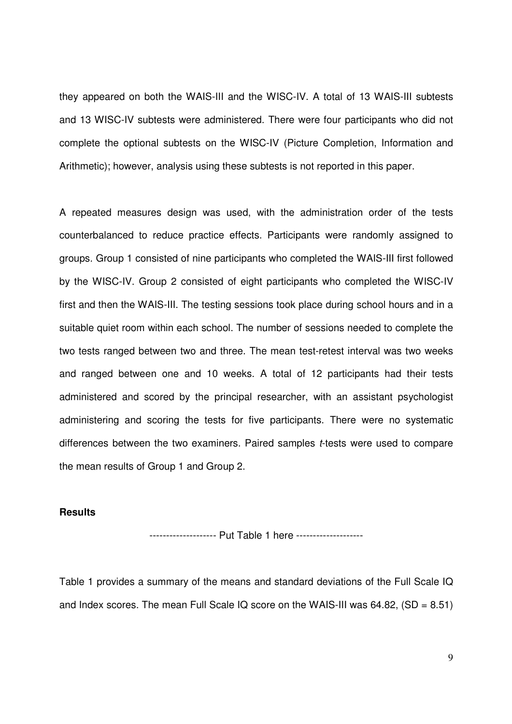they appeared on both the WAIS-III and the WISC-IV. A total of 13 WAIS-III subtests and 13 WISC-IV subtests were administered. There were four participants who did not complete the optional subtests on the WISC-IV (Picture Completion, Information and Arithmetic); however, analysis using these subtests is not reported in this paper.

A repeated measures design was used, with the administration order of the tests counterbalanced to reduce practice effects. Participants were randomly assigned to groups. Group 1 consisted of nine participants who completed the WAIS-III first followed by the WISC-IV. Group 2 consisted of eight participants who completed the WISC-IV first and then the WAIS-III. The testing sessions took place during school hours and in a suitable quiet room within each school. The number of sessions needed to complete the two tests ranged between two and three. The mean test-retest interval was two weeks and ranged between one and 10 weeks. A total of 12 participants had their tests administered and scored by the principal researcher, with an assistant psychologist administering and scoring the tests for five participants. There were no systematic differences between the two examiners. Paired samples t-tests were used to compare the mean results of Group 1 and Group 2.

### **Results**

-------------------- Put Table 1 here --------------------

Table 1 provides a summary of the means and standard deviations of the Full Scale IQ and Index scores. The mean Full Scale IQ score on the WAIS-III was  $64.82$ ,  $(SD = 8.51)$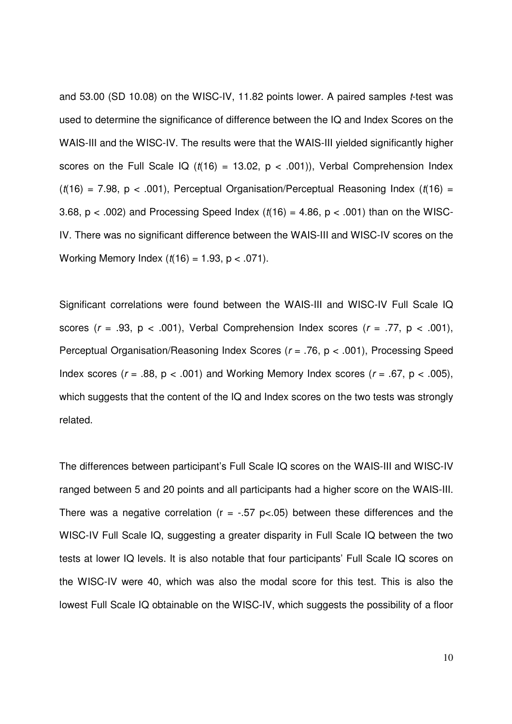and 53.00 (SD 10.08) on the WISC-IV, 11.82 points lower. A paired samples t-test was used to determine the significance of difference between the IQ and Index Scores on the WAIS-III and the WISC-IV. The results were that the WAIS-III yielded significantly higher scores on the Full Scale IQ ( $t(16) = 13.02$ ,  $p < .001$ )), Verbal Comprehension Index  $(t(16) = 7.98, p < .001)$ , Perceptual Organisation/Perceptual Reasoning Index  $(t(16) =$ 3.68,  $p < .002$ ) and Processing Speed Index ( $t(16) = 4.86$ ,  $p < .001$ ) than on the WISC-IV. There was no significant difference between the WAIS-III and WISC-IV scores on the Working Memory Index  $(t(16) = 1.93, p < .071)$ .

Significant correlations were found between the WAIS-III and WISC-IV Full Scale IQ scores ( $r = .93$ ,  $p < .001$ ), Verbal Comprehension Index scores ( $r = .77$ ,  $p < .001$ ), Perceptual Organisation/Reasoning Index Scores ( $r = .76$ ,  $p < .001$ ), Processing Speed Index scores ( $r = .88$ ,  $p < .001$ ) and Working Memory Index scores ( $r = .67$ ,  $p < .005$ ), which suggests that the content of the IQ and Index scores on the two tests was strongly related.

The differences between participant's Full Scale IQ scores on the WAIS-III and WISC-IV ranged between 5 and 20 points and all participants had a higher score on the WAIS-III. There was a negative correlation ( $r = -.57$  p<.05) between these differences and the WISC-IV Full Scale IQ, suggesting a greater disparity in Full Scale IQ between the two tests at lower IQ levels. It is also notable that four participants' Full Scale IQ scores on the WISC-IV were 40, which was also the modal score for this test. This is also the lowest Full Scale IQ obtainable on the WISC-IV, which suggests the possibility of a floor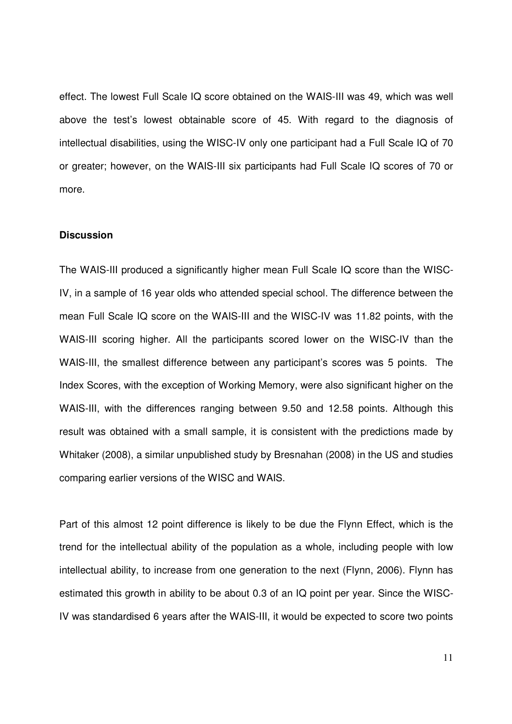effect. The lowest Full Scale IQ score obtained on the WAIS-III was 49, which was well above the test's lowest obtainable score of 45. With regard to the diagnosis of intellectual disabilities, using the WISC-IV only one participant had a Full Scale IQ of 70 or greater; however, on the WAIS-III six participants had Full Scale IQ scores of 70 or more.

### **Discussion**

The WAIS-III produced a significantly higher mean Full Scale IQ score than the WISC-IV, in a sample of 16 year olds who attended special school. The difference between the mean Full Scale IQ score on the WAIS-III and the WISC-IV was 11.82 points, with the WAIS-III scoring higher. All the participants scored lower on the WISC-IV than the WAIS-III, the smallest difference between any participant's scores was 5 points. The Index Scores, with the exception of Working Memory, were also significant higher on the WAIS-III, with the differences ranging between 9.50 and 12.58 points. Although this result was obtained with a small sample, it is consistent with the predictions made by Whitaker (2008), a similar unpublished study by Bresnahan (2008) in the US and studies comparing earlier versions of the WISC and WAIS.

Part of this almost 12 point difference is likely to be due the Flynn Effect, which is the trend for the intellectual ability of the population as a whole, including people with low intellectual ability, to increase from one generation to the next (Flynn, 2006). Flynn has estimated this growth in ability to be about 0.3 of an IQ point per year. Since the WISC-IV was standardised 6 years after the WAIS-III, it would be expected to score two points

11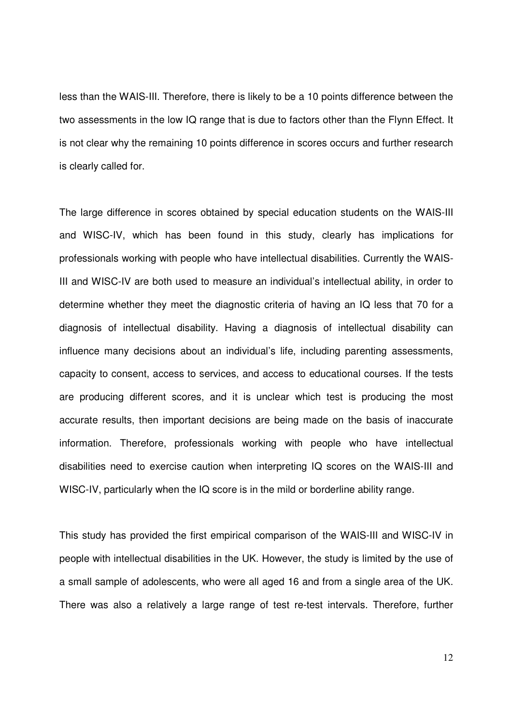less than the WAIS-III. Therefore, there is likely to be a 10 points difference between the two assessments in the low IQ range that is due to factors other than the Flynn Effect. It is not clear why the remaining 10 points difference in scores occurs and further research is clearly called for.

The large difference in scores obtained by special education students on the WAIS-III and WISC-IV, which has been found in this study, clearly has implications for professionals working with people who have intellectual disabilities. Currently the WAIS-III and WISC-IV are both used to measure an individual's intellectual ability, in order to determine whether they meet the diagnostic criteria of having an IQ less that 70 for a diagnosis of intellectual disability. Having a diagnosis of intellectual disability can influence many decisions about an individual's life, including parenting assessments, capacity to consent, access to services, and access to educational courses. If the tests are producing different scores, and it is unclear which test is producing the most accurate results, then important decisions are being made on the basis of inaccurate information. Therefore, professionals working with people who have intellectual disabilities need to exercise caution when interpreting IQ scores on the WAIS-III and WISC-IV, particularly when the IQ score is in the mild or borderline ability range.

This study has provided the first empirical comparison of the WAIS-III and WISC-IV in people with intellectual disabilities in the UK. However, the study is limited by the use of a small sample of adolescents, who were all aged 16 and from a single area of the UK. There was also a relatively a large range of test re-test intervals. Therefore, further

12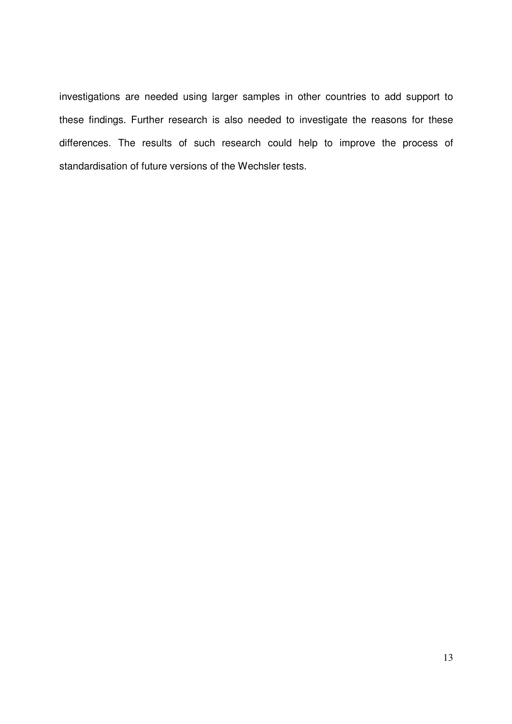investigations are needed using larger samples in other countries to add support to these findings. Further research is also needed to investigate the reasons for these differences. The results of such research could help to improve the process of standardisation of future versions of the Wechsler tests.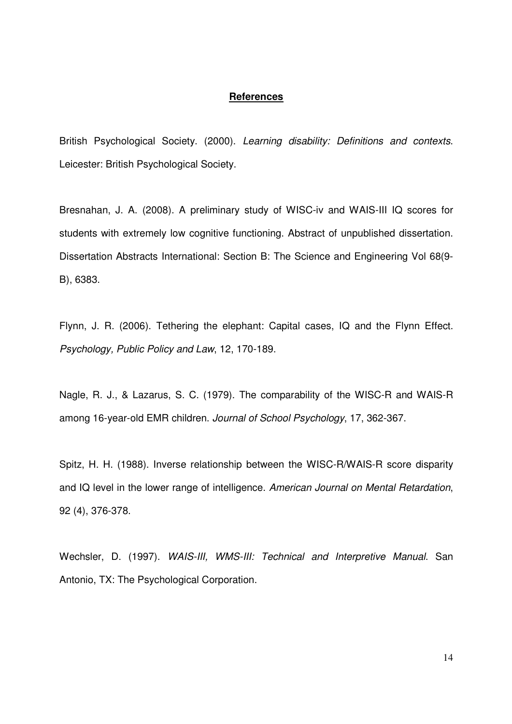#### **References**

British Psychological Society. (2000). Learning disability: Definitions and contexts. Leicester: British Psychological Society.

Bresnahan, J. A. (2008). A preliminary study of WISC-iv and WAIS-III IQ scores for students with extremely low cognitive functioning. Abstract of unpublished dissertation. Dissertation Abstracts International: Section B: The Science and Engineering Vol 68(9- B), 6383.

Flynn, J. R. (2006). Tethering the elephant: Capital cases, IQ and the Flynn Effect. Psychology, Public Policy and Law, 12, 170-189.

Nagle, R. J., & Lazarus, S. C. (1979). The comparability of the WISC-R and WAIS-R among 16-year-old EMR children. Journal of School Psychology, 17, 362-367.

Spitz, H. H. (1988). Inverse relationship between the WISC-R/WAIS-R score disparity and IQ level in the lower range of intelligence. American Journal on Mental Retardation, 92 (4), 376-378.

Wechsler, D. (1997). WAIS-III, WMS-III: Technical and Interpretive Manual. San Antonio, TX: The Psychological Corporation.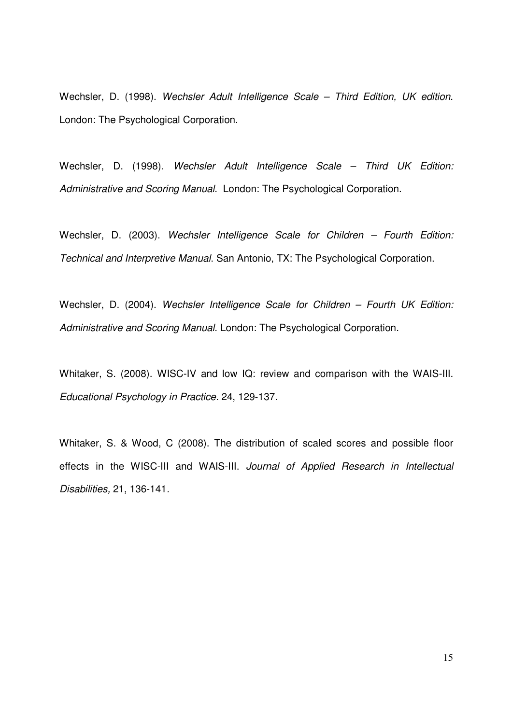Wechsler, D. (1998). Wechsler Adult Intelligence Scale - Third Edition, UK edition. London: The Psychological Corporation.

Wechsler, D. (1998). Wechsler Adult Intelligence Scale - Third UK Edition: Administrative and Scoring Manual. London: The Psychological Corporation.

Wechsler, D. (2003). Wechsler Intelligence Scale for Children - Fourth Edition: Technical and Interpretive Manual. San Antonio, TX: The Psychological Corporation.

Wechsler, D. (2004). Wechsler Intelligence Scale for Children - Fourth UK Edition: Administrative and Scoring Manual. London: The Psychological Corporation.

Whitaker, S. (2008). WISC-IV and low IQ: review and comparison with the WAIS-III. Educational Psychology in Practice. 24, 129-137.

Whitaker, S. & Wood, C (2008). The distribution of scaled scores and possible floor effects in the WISC-III and WAIS-III. Journal of Applied Research in Intellectual Disabilities, 21, 136-141.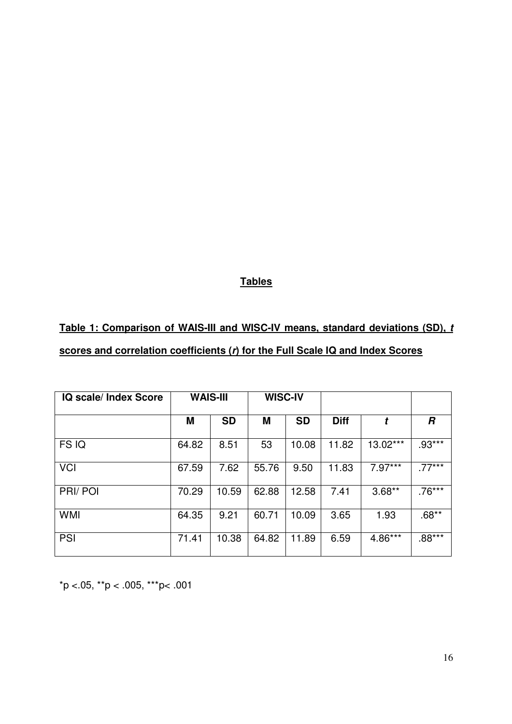### **Tables**

# **Table 1: Comparison of WAIS-III and WISC-IV means, standard deviations (SD), t scores and correlation coefficients (r) for the Full Scale IQ and Index Scores**

| IQ scale/ Index Score | <b>WAIS-III</b> |           | <b>WISC-IV</b> |           |             |           |          |
|-----------------------|-----------------|-----------|----------------|-----------|-------------|-----------|----------|
|                       | M               | <b>SD</b> | M              | <b>SD</b> | <b>Diff</b> | t         | R        |
| FS IQ                 | 64.82           | 8.51      | 53             | 10.08     | 11.82       | 13.02***  | $.93***$ |
| <b>VCI</b>            | 67.59           | 7.62      | 55.76          | 9.50      | 11.83       | $7.97***$ | $.77***$ |
| PRI/POI               | 70.29           | 10.59     | 62.88          | 12.58     | 7.41        | $3.68**$  | $.76***$ |
| <b>WMI</b>            | 64.35           | 9.21      | 60.71          | 10.09     | 3.65        | 1.93      | $.68**$  |
| <b>PSI</b>            | 71.41           | 10.38     | 64.82          | 11.89     | 6.59        | 4.86***   | $.88***$ |

 $*p < .05$ ,  $*p < .005$ ,  $**p < .001$